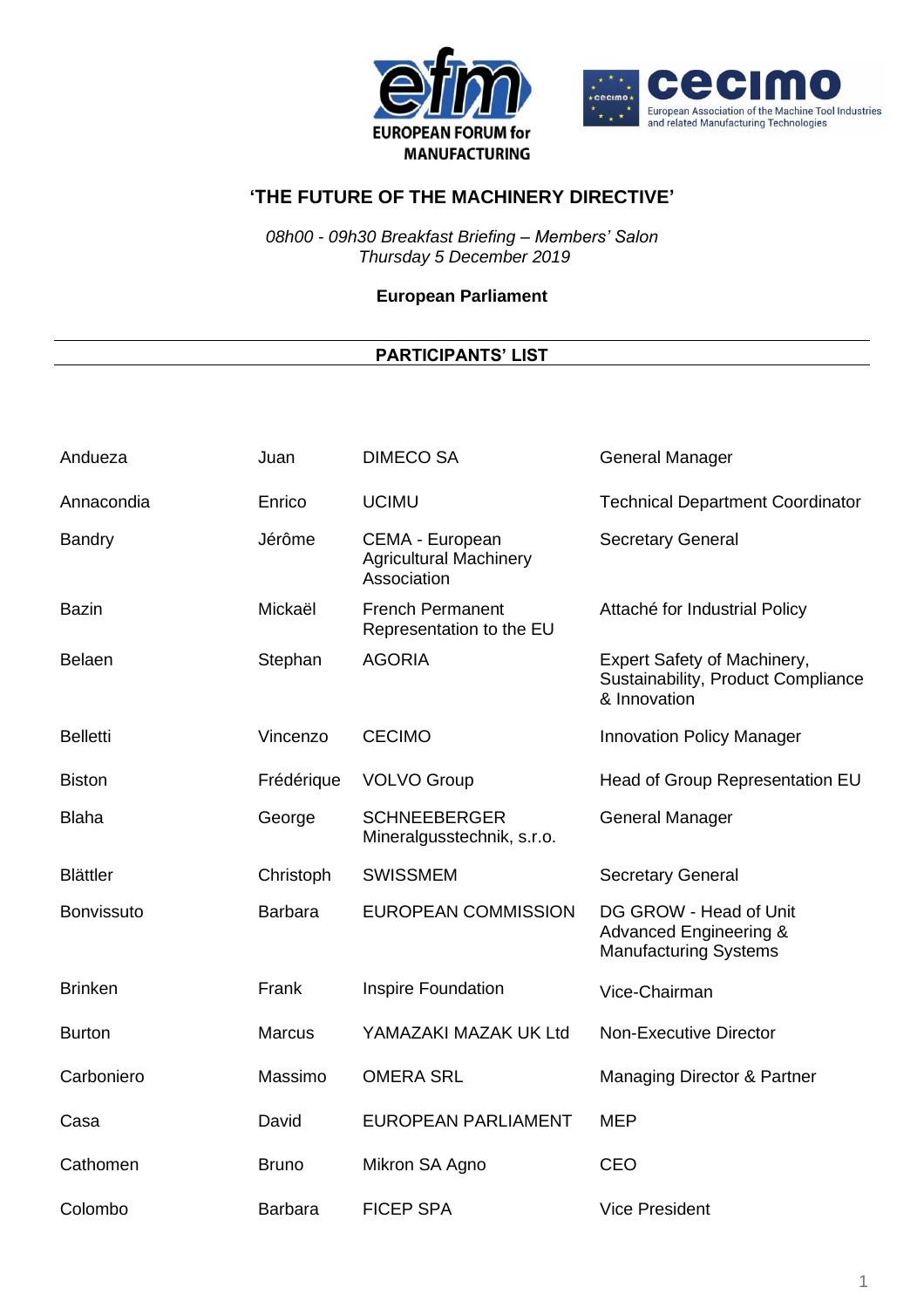



*08h00 - 09h30 Breakfast Briefing – Members' Salon Thursday 5 December 2019*

**European Parliament**

| Andueza           | Juan           | <b>DIMECO SA</b>                                                | <b>General Manager</b>                                                                      |
|-------------------|----------------|-----------------------------------------------------------------|---------------------------------------------------------------------------------------------|
| Annacondia        | Enrico         | <b>UCIMU</b>                                                    | <b>Technical Department Coordinator</b>                                                     |
| Bandry            | Jérôme         | CEMA - European<br><b>Agricultural Machinery</b><br>Association | <b>Secretary General</b>                                                                    |
| <b>Bazin</b>      | Mickaël        | <b>French Permanent</b><br>Representation to the EU             | Attaché for Industrial Policy                                                               |
| <b>Belaen</b>     | Stephan        | <b>AGORIA</b>                                                   | Expert Safety of Machinery,<br>Sustainability, Product Compliance<br>& Innovation           |
| <b>Belletti</b>   | Vincenzo       | <b>CECIMO</b>                                                   | <b>Innovation Policy Manager</b>                                                            |
| <b>Biston</b>     | Frédérique     | <b>VOLVO Group</b>                                              | Head of Group Representation EU                                                             |
| <b>Blaha</b>      | George         | <b>SCHNEEBERGER</b><br>Mineralgusstechnik, s.r.o.               | <b>General Manager</b>                                                                      |
| <b>Blättler</b>   | Christoph      | <b>SWISSMEM</b>                                                 | <b>Secretary General</b>                                                                    |
| <b>Bonvissuto</b> | <b>Barbara</b> | <b>EUROPEAN COMMISSION</b>                                      | DG GROW - Head of Unit<br><b>Advanced Engineering &amp;</b><br><b>Manufacturing Systems</b> |
| <b>Brinken</b>    | Frank          | Inspire Foundation                                              | Vice-Chairman                                                                               |
| <b>Burton</b>     | <b>Marcus</b>  | YAMAZAKI MAZAK UK Ltd                                           | <b>Non-Executive Director</b>                                                               |
| Carboniero        | Massimo        | <b>OMERA SRL</b>                                                | Managing Director & Partner                                                                 |
| Casa              | David          | <b>EUROPEAN PARLIAMENT</b>                                      | <b>MEP</b>                                                                                  |
| Cathomen          | <b>Bruno</b>   | Mikron SA Agno                                                  | <b>CEO</b>                                                                                  |
| Colombo           | <b>Barbara</b> | <b>FICEP SPA</b>                                                | <b>Vice President</b>                                                                       |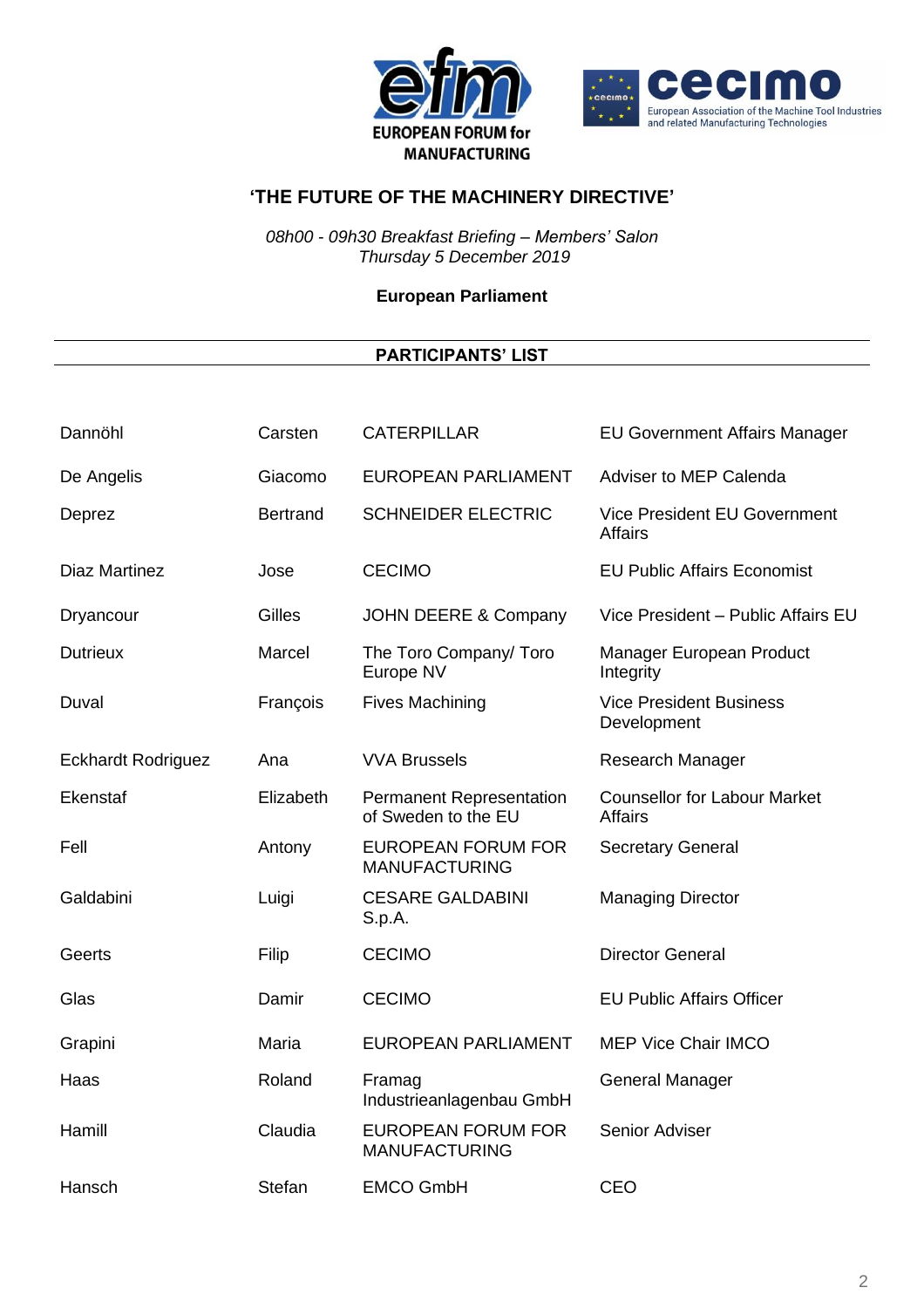



*08h00 - 09h30 Breakfast Briefing – Members' Salon Thursday 5 December 2019*

**European Parliament**

| Dannöhl                   | Carsten         | <b>CATERPILLAR</b>                                | <b>EU Government Affairs Manager</b>                  |
|---------------------------|-----------------|---------------------------------------------------|-------------------------------------------------------|
| De Angelis                | Giacomo         | <b>EUROPEAN PARLIAMENT</b>                        | <b>Adviser to MEP Calenda</b>                         |
| Deprez                    | <b>Bertrand</b> | <b>SCHNEIDER ELECTRIC</b>                         | Vice President EU Government<br><b>Affairs</b>        |
| <b>Diaz Martinez</b>      | Jose            | <b>CECIMO</b>                                     | <b>EU Public Affairs Economist</b>                    |
| Dryancour                 | Gilles          | JOHN DEERE & Company                              | Vice President - Public Affairs EU                    |
| <b>Dutrieux</b>           | Marcel          | The Toro Company/ Toro<br>Europe NV               | Manager European Product<br>Integrity                 |
| Duval                     | François        | <b>Fives Machining</b>                            | <b>Vice President Business</b><br>Development         |
| <b>Eckhardt Rodriguez</b> | Ana             | <b>VVA Brussels</b>                               | Research Manager                                      |
| Ekenstaf                  | Elizabeth       | Permanent Representation<br>of Sweden to the EU   | <b>Counsellor for Labour Market</b><br><b>Affairs</b> |
| Fell                      | Antony          | <b>EUROPEAN FORUM FOR</b><br><b>MANUFACTURING</b> | Secretary General                                     |
| Galdabini                 | Luigi           | <b>CESARE GALDABINI</b><br>S.p.A.                 | <b>Managing Director</b>                              |
| Geerts                    | Filip           | <b>CECIMO</b>                                     | <b>Director General</b>                               |
| Glas                      | Damir           | <b>CECIMO</b>                                     | <b>EU Public Affairs Officer</b>                      |
| Grapini                   | Maria           | <b>EUROPEAN PARLIAMENT</b>                        | <b>MEP Vice Chair IMCO</b>                            |
| Haas                      | Roland          | Framag<br>Industrieanlagenbau GmbH                | <b>General Manager</b>                                |
| Hamill                    | Claudia         | <b>EUROPEAN FORUM FOR</b><br><b>MANUFACTURING</b> | Senior Adviser                                        |
| Hansch                    | <b>Stefan</b>   | <b>EMCO GmbH</b>                                  | <b>CEO</b>                                            |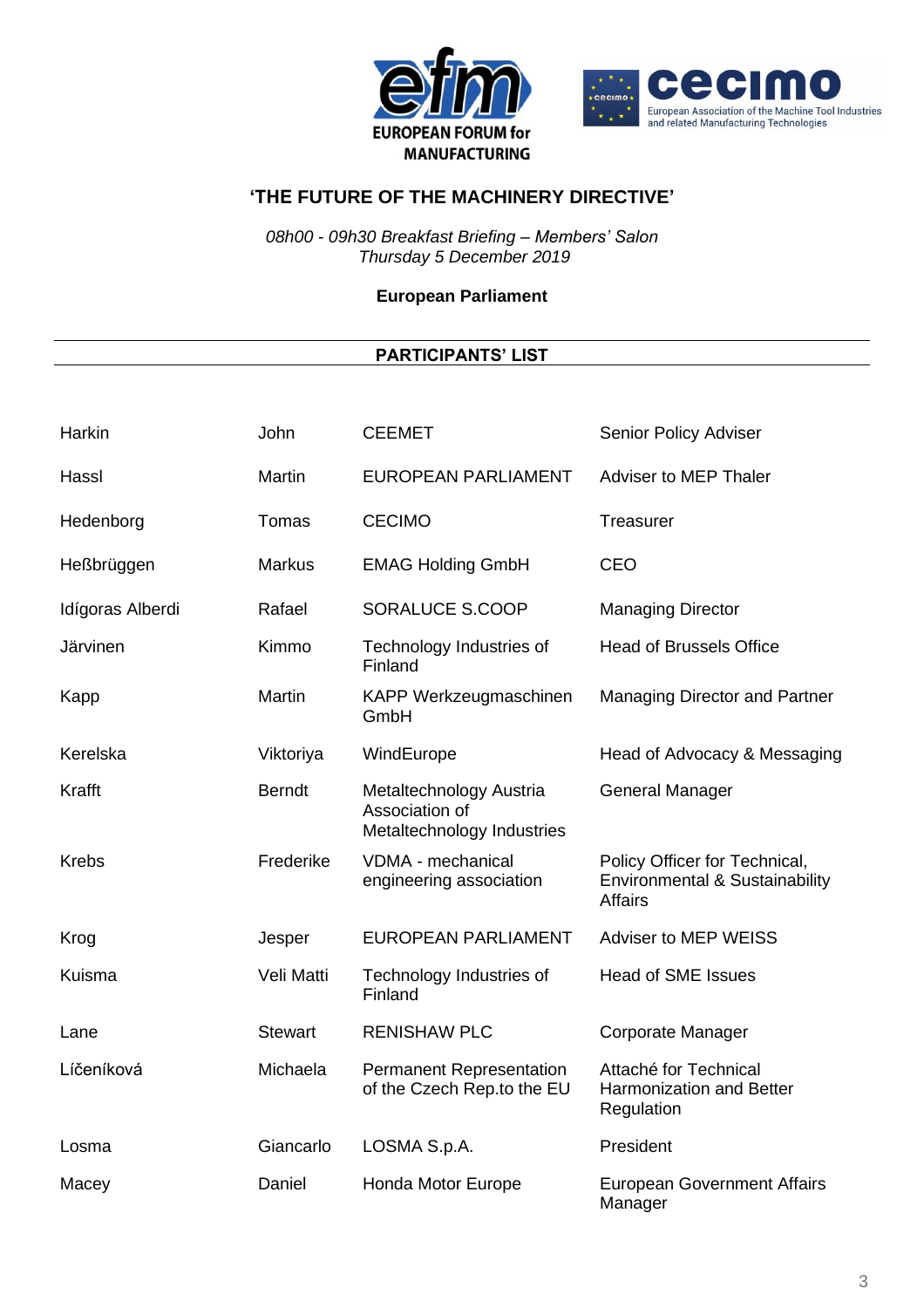



*08h00 - 09h30 Breakfast Briefing – Members' Salon Thursday 5 December 2019*

**European Parliament**

| Harkin           | John           | <b>CEEMET</b>                                                           | Senior Policy Adviser                                                             |
|------------------|----------------|-------------------------------------------------------------------------|-----------------------------------------------------------------------------------|
| Hassl            | Martin         | <b>EUROPEAN PARLIAMENT</b>                                              | Adviser to MEP Thaler                                                             |
| Hedenborg        | Tomas          | <b>CECIMO</b>                                                           | Treasurer                                                                         |
| Heßbrüggen       | <b>Markus</b>  | <b>EMAG Holding GmbH</b>                                                | CEO                                                                               |
| Idígoras Alberdi | Rafael         | SORALUCE S.COOP                                                         | <b>Managing Director</b>                                                          |
| Järvinen         | Kimmo          | Technology Industries of<br>Finland                                     | <b>Head of Brussels Office</b>                                                    |
| Kapp             | Martin         | KAPP Werkzeugmaschinen<br>GmbH                                          | Managing Director and Partner                                                     |
| Kerelska         | Viktoriya      | WindEurope                                                              | Head of Advocacy & Messaging                                                      |
| Krafft           | <b>Berndt</b>  | Metaltechnology Austria<br>Association of<br>Metaltechnology Industries | <b>General Manager</b>                                                            |
| <b>Krebs</b>     | Frederike      | VDMA - mechanical<br>engineering association                            | Policy Officer for Technical,<br>Environmental & Sustainability<br><b>Affairs</b> |
| Krog             | Jesper         | <b>EUROPEAN PARLIAMENT</b>                                              | Adviser to MEP WEISS                                                              |
| Kuisma           | Veli Matti     | Technology Industries of<br>Finland                                     | <b>Head of SME Issues</b>                                                         |
| Lane             | <b>Stewart</b> | <b>RENISHAW PLC</b>                                                     | Corporate Manager                                                                 |
| Líčeníková       | Michaela       | Permanent Representation<br>of the Czech Rep.to the EU                  | Attaché for Technical<br><b>Harmonization and Better</b><br>Regulation            |
| Losma            | Giancarlo      | LOSMA S.p.A.                                                            | President                                                                         |
| Macey            | Daniel         | Honda Motor Europe                                                      | <b>European Government Affairs</b><br>Manager                                     |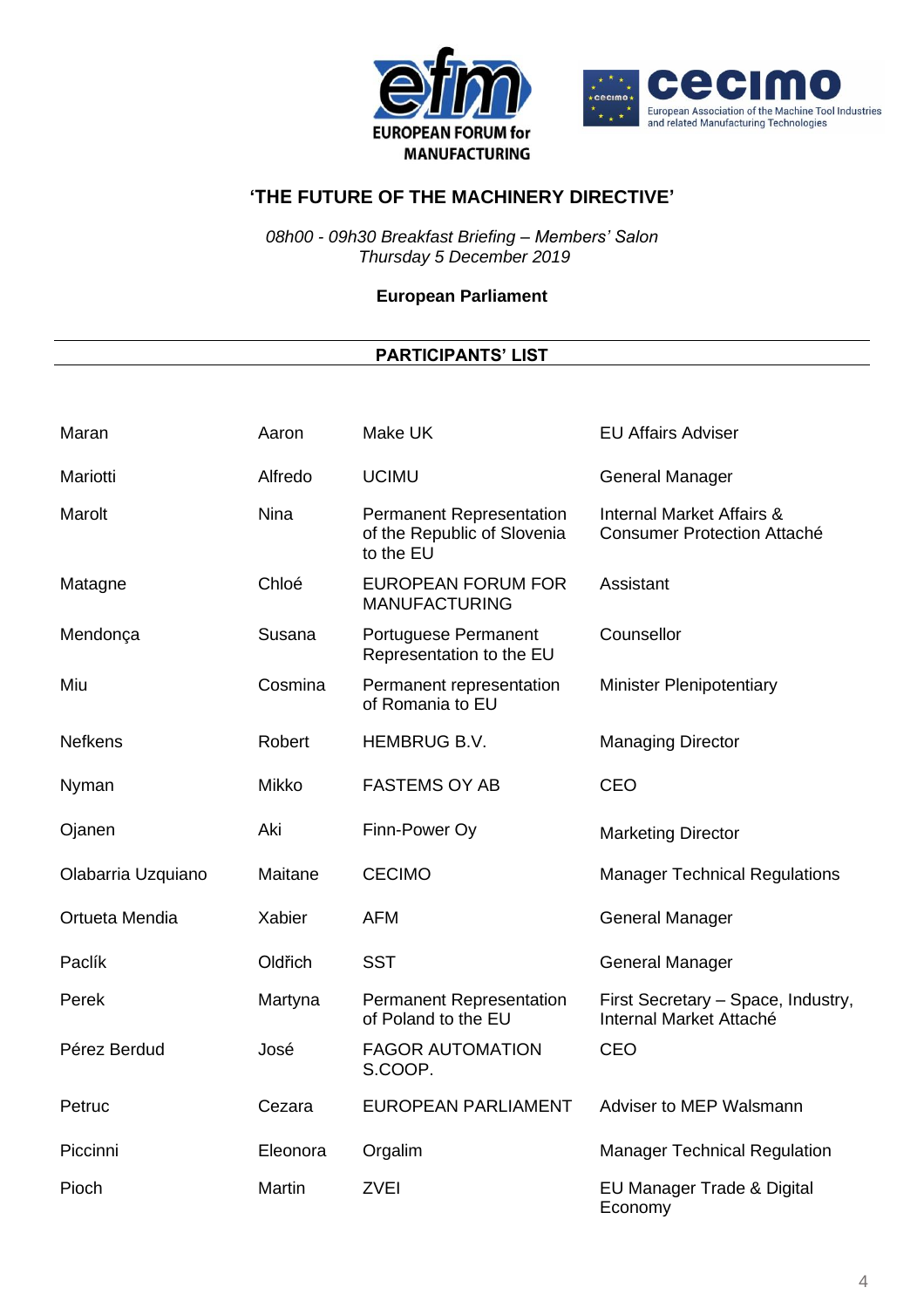



*08h00 - 09h30 Breakfast Briefing – Members' Salon Thursday 5 December 2019*

**European Parliament**

| Maran              | Aaron       | Make UK                                                                     | <b>EU Affairs Adviser</b>                                                  |
|--------------------|-------------|-----------------------------------------------------------------------------|----------------------------------------------------------------------------|
| Mariotti           | Alfredo     | <b>UCIMU</b>                                                                | <b>General Manager</b>                                                     |
| Marolt             | <b>Nina</b> | <b>Permanent Representation</b><br>of the Republic of Slovenia<br>to the EU | <b>Internal Market Affairs &amp;</b><br><b>Consumer Protection Attaché</b> |
| Matagne            | Chloé       | <b>EUROPEAN FORUM FOR</b><br><b>MANUFACTURING</b>                           | Assistant                                                                  |
| Mendonça           | Susana      | Portuguese Permanent<br>Representation to the EU                            | Counsellor                                                                 |
| Miu                | Cosmina     | Permanent representation<br>of Romania to EU                                | <b>Minister Plenipotentiary</b>                                            |
| <b>Nefkens</b>     | Robert      | HEMBRUG B.V.                                                                | <b>Managing Director</b>                                                   |
| Nyman              | Mikko       | <b>FASTEMS OY AB</b>                                                        | <b>CEO</b>                                                                 |
| Ojanen             | Aki         | Finn-Power Oy                                                               | <b>Marketing Director</b>                                                  |
| Olabarria Uzquiano | Maitane     | <b>CECIMO</b>                                                               | <b>Manager Technical Regulations</b>                                       |
| Ortueta Mendia     | Xabier      | <b>AFM</b>                                                                  | <b>General Manager</b>                                                     |
| Paclík             | Oldřich     | <b>SST</b>                                                                  | <b>General Manager</b>                                                     |
| Perek              | Martyna     | Permanent Representation<br>of Poland to the EU                             | First Secretary - Space, Industry,<br>Internal Market Attaché              |
| Pérez Berdud       | José        | <b>FAGOR AUTOMATION</b><br>S.COOP.                                          | <b>CEO</b>                                                                 |
| Petruc             | Cezara      | <b>EUROPEAN PARLIAMENT</b>                                                  | Adviser to MEP Walsmann                                                    |
| Piccinni           | Eleonora    | Orgalim                                                                     | <b>Manager Technical Regulation</b>                                        |
| Pioch              | Martin      | <b>ZVEI</b>                                                                 | EU Manager Trade & Digital<br>Economy                                      |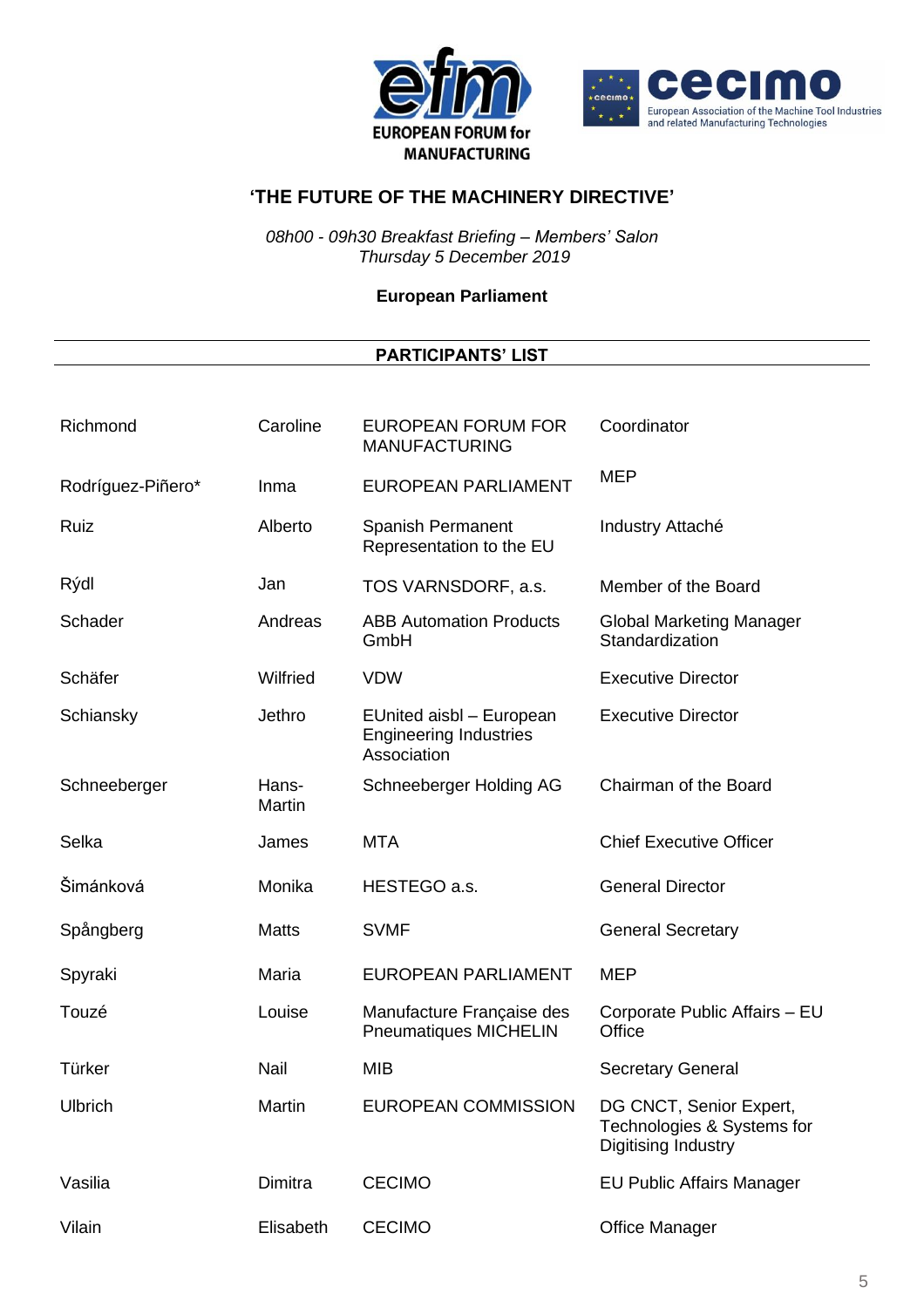



*08h00 - 09h30 Breakfast Briefing – Members' Salon Thursday 5 December 2019*

**European Parliament**

| Richmond          | Caroline        | <b>EUROPEAN FORUM FOR</b><br><b>MANUFACTURING</b>                        | Coordinator                                                                  |
|-------------------|-----------------|--------------------------------------------------------------------------|------------------------------------------------------------------------------|
| Rodríguez-Piñero* | Inma            | <b>EUROPEAN PARLIAMENT</b>                                               | <b>MEP</b>                                                                   |
| Ruiz              | Alberto         | Spanish Permanent<br>Representation to the EU                            | Industry Attaché                                                             |
| Rýdl              | Jan             | TOS VARNSDORF, a.s.                                                      | Member of the Board                                                          |
| Schader           | Andreas         | <b>ABB Automation Products</b><br>GmbH                                   | <b>Global Marketing Manager</b><br>Standardization                           |
| Schäfer           | Wilfried        | <b>VDW</b>                                                               | <b>Executive Director</b>                                                    |
| Schiansky         | Jethro          | EUnited aisbl - European<br><b>Engineering Industries</b><br>Association | <b>Executive Director</b>                                                    |
| Schneeberger      | Hans-<br>Martin | Schneeberger Holding AG                                                  | Chairman of the Board                                                        |
| Selka             | James           | <b>MTA</b>                                                               | <b>Chief Executive Officer</b>                                               |
| Šimánková         | Monika          | HESTEGO a.s.                                                             | <b>General Director</b>                                                      |
| Spångberg         | <b>Matts</b>    | <b>SVMF</b>                                                              | <b>General Secretary</b>                                                     |
| Spyraki           | Maria           | <b>EUROPEAN PARLIAMENT</b>                                               | <b>MEP</b>                                                                   |
| Touzé             | Louise          | Manufacture Française des<br><b>Pneumatiques MICHELIN</b>                | Corporate Public Affairs - EU<br>Office                                      |
| Türker            | Nail            | <b>MIB</b>                                                               | <b>Secretary General</b>                                                     |
| Ulbrich           | Martin          | EUROPEAN COMMISSION                                                      | DG CNCT, Senior Expert.<br>Technologies & Systems for<br>Digitising Industry |
| Vasilia           | Dimitra         | <b>CECIMO</b>                                                            | <b>EU Public Affairs Manager</b>                                             |
| Vilain            | Elisabeth       | <b>CECIMO</b>                                                            | <b>Office Manager</b>                                                        |